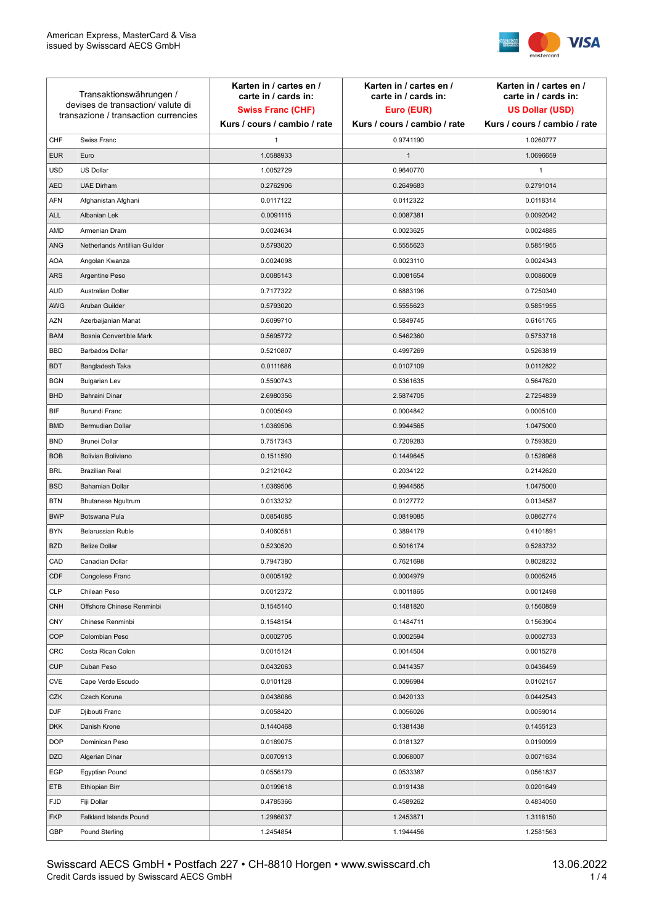

| Transaktionswährungen /<br>devises de transaction/valute di<br>transazione / transaction currencies |                               | Karten in / cartes en /<br>carte in / cards in:<br><b>Swiss Franc (CHF)</b> | Karten in / cartes en /<br>carte in / cards in:<br>Euro (EUR) | Karten in / cartes en /<br>carte in / cards in:<br><b>US Dollar (USD)</b> |
|-----------------------------------------------------------------------------------------------------|-------------------------------|-----------------------------------------------------------------------------|---------------------------------------------------------------|---------------------------------------------------------------------------|
|                                                                                                     |                               | Kurs / cours / cambio / rate                                                | Kurs / cours / cambio / rate                                  | Kurs / cours / cambio / rate                                              |
| CHF                                                                                                 | Swiss Franc                   | 1                                                                           | 0.9741190                                                     | 1.0260777                                                                 |
| <b>EUR</b>                                                                                          | Euro                          | 1.0588933                                                                   | $\mathbf{1}$                                                  | 1.0696659                                                                 |
| <b>USD</b>                                                                                          | <b>US Dollar</b>              | 1.0052729                                                                   | 0.9640770                                                     | $\mathbf{1}$                                                              |
| <b>AED</b>                                                                                          | <b>UAE Dirham</b>             | 0.2762906                                                                   | 0.2649683                                                     | 0.2791014                                                                 |
| AFN                                                                                                 | Afghanistan Afghani           | 0.0117122                                                                   | 0.0112322                                                     | 0.0118314                                                                 |
| <b>ALL</b>                                                                                          | Albanian Lek                  | 0.0091115                                                                   | 0.0087381                                                     | 0.0092042                                                                 |
| AMD                                                                                                 | Armenian Dram                 | 0.0024634                                                                   | 0.0023625                                                     | 0.0024885                                                                 |
| <b>ANG</b>                                                                                          | Netherlands Antillian Guilder | 0.5793020                                                                   | 0.5555623                                                     | 0.5851955                                                                 |
| <b>AOA</b>                                                                                          | Angolan Kwanza                | 0.0024098                                                                   | 0.0023110                                                     | 0.0024343                                                                 |
| <b>ARS</b>                                                                                          | Argentine Peso                | 0.0085143                                                                   | 0.0081654                                                     | 0.0086009                                                                 |
| <b>AUD</b>                                                                                          | Australian Dollar             | 0.7177322                                                                   | 0.6883196                                                     | 0.7250340                                                                 |
| AWG                                                                                                 | Aruban Guilder                | 0.5793020                                                                   | 0.5555623                                                     | 0.5851955                                                                 |
| <b>AZN</b>                                                                                          | Azerbaijanian Manat           | 0.6099710                                                                   | 0.5849745                                                     | 0.6161765                                                                 |
| <b>BAM</b>                                                                                          | Bosnia Convertible Mark       | 0.5695772                                                                   | 0.5462360                                                     | 0.5753718                                                                 |
| <b>BBD</b>                                                                                          | <b>Barbados Dollar</b>        | 0.5210807                                                                   | 0.4997269                                                     | 0.5263819                                                                 |
| <b>BDT</b>                                                                                          | Bangladesh Taka               | 0.0111686                                                                   | 0.0107109                                                     | 0.0112822                                                                 |
| <b>BGN</b>                                                                                          | <b>Bulgarian Lev</b>          | 0.5590743                                                                   | 0.5361635                                                     | 0.5647620                                                                 |
| <b>BHD</b>                                                                                          | Bahraini Dinar                | 2.6980356                                                                   | 2.5874705                                                     | 2.7254839                                                                 |
| BIF                                                                                                 | Burundi Franc                 | 0.0005049                                                                   | 0.0004842                                                     | 0.0005100                                                                 |
| <b>BMD</b>                                                                                          | Bermudian Dollar              | 1.0369506                                                                   | 0.9944565                                                     | 1.0475000                                                                 |
| <b>BND</b>                                                                                          | <b>Brunei Dollar</b>          | 0.7517343                                                                   | 0.7209283                                                     | 0.7593820                                                                 |
| <b>BOB</b>                                                                                          | Bolivian Boliviano            | 0.1511590                                                                   | 0.1449645                                                     | 0.1526968                                                                 |
| <b>BRL</b>                                                                                          | <b>Brazilian Real</b>         | 0.2121042                                                                   | 0.2034122                                                     | 0.2142620                                                                 |
| <b>BSD</b>                                                                                          | <b>Bahamian Dollar</b>        | 1.0369506                                                                   | 0.9944565                                                     | 1.0475000                                                                 |
| <b>BTN</b>                                                                                          | <b>Bhutanese Ngultrum</b>     | 0.0133232                                                                   | 0.0127772                                                     | 0.0134587                                                                 |
| <b>BWP</b>                                                                                          | Botswana Pula                 | 0.0854085                                                                   | 0.0819085                                                     | 0.0862774                                                                 |
| <b>BYN</b>                                                                                          | Belarussian Ruble             | 0.4060581                                                                   | 0.3894179                                                     | 0.4101891                                                                 |
| <b>BZD</b>                                                                                          | <b>Belize Dollar</b>          | 0.5230520                                                                   | 0.5016174                                                     | 0.5283732                                                                 |
| CAD                                                                                                 | Canadian Dollar               | 0.7947380                                                                   | 0.7621698                                                     | 0.8028232                                                                 |
| CDF                                                                                                 | Congolese Franc               | 0.0005192                                                                   | 0.0004979                                                     | 0.0005245                                                                 |
| <b>CLP</b>                                                                                          | Chilean Peso                  | 0.0012372                                                                   | 0.0011865                                                     | 0.0012498                                                                 |
| <b>CNH</b>                                                                                          | Offshore Chinese Renminbi     | 0.1545140                                                                   | 0.1481820                                                     | 0.1560859                                                                 |
| <b>CNY</b>                                                                                          | Chinese Renminbi              | 0.1548154                                                                   | 0.1484711                                                     | 0.1563904                                                                 |
| <b>COP</b>                                                                                          | Colombian Peso                | 0.0002705                                                                   | 0.0002594                                                     | 0.0002733                                                                 |
| <b>CRC</b>                                                                                          | Costa Rican Colon             | 0.0015124                                                                   | 0.0014504                                                     | 0.0015278                                                                 |
| <b>CUP</b>                                                                                          | Cuban Peso                    | 0.0432063                                                                   | 0.0414357                                                     | 0.0436459                                                                 |
| CVE                                                                                                 | Cape Verde Escudo             | 0.0101128                                                                   | 0.0096984                                                     | 0.0102157                                                                 |
| CZK                                                                                                 | Czech Koruna                  | 0.0438086                                                                   | 0.0420133                                                     | 0.0442543                                                                 |
| <b>DJF</b>                                                                                          | Djibouti Franc                | 0.0058420                                                                   | 0.0056026                                                     | 0.0059014                                                                 |
| <b>DKK</b>                                                                                          | Danish Krone                  | 0.1440468                                                                   | 0.1381438                                                     | 0.1455123                                                                 |
| <b>DOP</b>                                                                                          | Dominican Peso                | 0.0189075                                                                   | 0.0181327                                                     | 0.0190999                                                                 |
| <b>DZD</b>                                                                                          | Algerian Dinar                | 0.0070913                                                                   | 0.0068007                                                     | 0.0071634                                                                 |
| EGP                                                                                                 | <b>Egyptian Pound</b>         | 0.0556179                                                                   | 0.0533387                                                     | 0.0561837                                                                 |
| ETB                                                                                                 | Ethiopian Birr                | 0.0199618                                                                   | 0.0191438                                                     | 0.0201649                                                                 |
| <b>FJD</b>                                                                                          | Fiji Dollar                   | 0.4785366                                                                   | 0.4589262                                                     | 0.4834050                                                                 |
| <b>FKP</b>                                                                                          | Falkland Islands Pound        | 1.2986037                                                                   | 1.2453871                                                     | 1.3118150                                                                 |
| GBP                                                                                                 | Pound Sterling                | 1.2454854                                                                   | 1.1944456                                                     | 1.2581563                                                                 |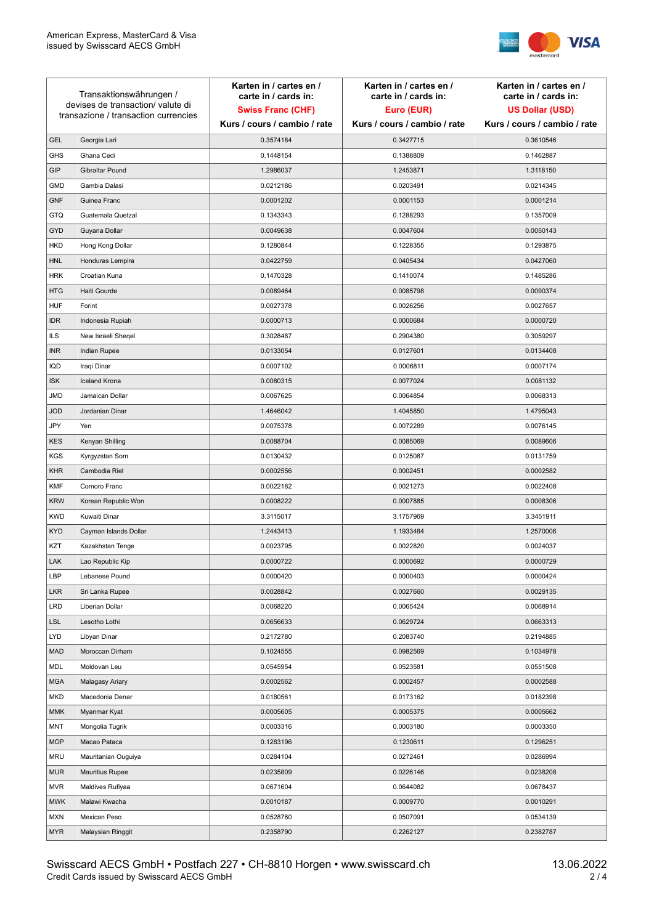

| Transaktionswährungen /<br>devises de transaction/valute di<br>transazione / transaction currencies |                        | Karten in / cartes en /<br>carte in / cards in: | Karten in / cartes en /<br>carte in / cards in: | Karten in / cartes en /<br>carte in / cards in: |
|-----------------------------------------------------------------------------------------------------|------------------------|-------------------------------------------------|-------------------------------------------------|-------------------------------------------------|
|                                                                                                     |                        | <b>Swiss Franc (CHF)</b>                        | Euro (EUR)                                      | <b>US Dollar (USD)</b>                          |
|                                                                                                     |                        | Kurs / cours / cambio / rate                    | Kurs / cours / cambio / rate                    | Kurs / cours / cambio / rate                    |
| <b>GEL</b>                                                                                          | Georgia Lari           | 0.3574184                                       | 0.3427715                                       | 0.3610546                                       |
| <b>GHS</b>                                                                                          | Ghana Cedi             | 0.1448154                                       | 0.1388809                                       | 0.1462887                                       |
| GIP                                                                                                 | Gibraltar Pound        | 1.2986037                                       | 1.2453871                                       | 1.3118150                                       |
| <b>GMD</b>                                                                                          | Gambia Dalasi          | 0.0212186                                       | 0.0203491                                       | 0.0214345                                       |
| <b>GNF</b>                                                                                          | Guinea Franc           | 0.0001202                                       | 0.0001153                                       | 0.0001214                                       |
| <b>GTQ</b>                                                                                          | Guatemala Quetzal      | 0.1343343                                       | 0.1288293                                       | 0.1357009                                       |
| GYD                                                                                                 | Guyana Dollar          | 0.0049638                                       | 0.0047604                                       | 0.0050143                                       |
| <b>HKD</b>                                                                                          | Hong Kong Dollar       | 0.1280844                                       | 0.1228355                                       | 0.1293875                                       |
| <b>HNL</b>                                                                                          | Honduras Lempira       | 0.0422759                                       | 0.0405434                                       | 0.0427060                                       |
| <b>HRK</b>                                                                                          | Croatian Kuna          | 0.1470328                                       | 0.1410074                                       | 0.1485286                                       |
| <b>HTG</b>                                                                                          | Haiti Gourde           | 0.0089464                                       | 0.0085798                                       | 0.0090374                                       |
| <b>HUF</b>                                                                                          | Forint                 | 0.0027378                                       | 0.0026256                                       | 0.0027657                                       |
| <b>IDR</b>                                                                                          | Indonesia Rupiah       | 0.0000713                                       | 0.0000684                                       | 0.0000720                                       |
| <b>ILS</b>                                                                                          | New Israeli Sheqel     | 0.3028487                                       | 0.2904380                                       | 0.3059297                                       |
| <b>INR</b>                                                                                          | Indian Rupee           | 0.0133054                                       | 0.0127601                                       | 0.0134408                                       |
| <b>IQD</b>                                                                                          | Iraqi Dinar            | 0.0007102                                       | 0.0006811                                       | 0.0007174                                       |
| <b>ISK</b>                                                                                          | <b>Iceland Krona</b>   | 0.0080315                                       | 0.0077024                                       | 0.0081132                                       |
| <b>JMD</b>                                                                                          | Jamaican Dollar        | 0.0067625                                       | 0.0064854                                       | 0.0068313                                       |
| <b>JOD</b>                                                                                          | Jordanian Dinar        | 1.4646042                                       | 1.4045850                                       | 1.4795043                                       |
| JPY                                                                                                 | Yen                    | 0.0075378                                       | 0.0072289                                       | 0.0076145                                       |
| <b>KES</b>                                                                                          | Kenyan Shilling        | 0.0088704                                       | 0.0085069                                       | 0.0089606                                       |
| <b>KGS</b>                                                                                          | Kyrgyzstan Som         | 0.0130432                                       | 0.0125087                                       | 0.0131759                                       |
| <b>KHR</b>                                                                                          | Cambodia Riel          | 0.0002556                                       | 0.0002451                                       | 0.0002582                                       |
| <b>KMF</b>                                                                                          | Comoro Franc           | 0.0022182                                       | 0.0021273                                       | 0.0022408                                       |
| <b>KRW</b>                                                                                          | Korean Republic Won    | 0.0008222                                       | 0.0007885                                       | 0.0008306                                       |
| <b>KWD</b>                                                                                          | Kuwaiti Dinar          | 3.3115017                                       | 3.1757969                                       | 3.3451911                                       |
| <b>KYD</b>                                                                                          | Cayman Islands Dollar  | 1.2443413                                       | 1.1933484                                       | 1.2570006                                       |
| KZT                                                                                                 | Kazakhstan Tenge       | 0.0023795                                       | 0.0022820                                       | 0.0024037                                       |
| LAK                                                                                                 | Lao Republic Kip       | 0.0000722                                       | 0.0000692                                       | 0.0000729                                       |
| LBP                                                                                                 | Lebanese Pound         | 0.0000420                                       | 0.0000403                                       | 0.0000424                                       |
| <b>LKR</b>                                                                                          | Sri Lanka Rupee        | 0.0028842                                       | 0.0027660                                       | 0.0029135                                       |
| <b>LRD</b>                                                                                          | Liberian Dollar        | 0.0068220                                       | 0.0065424                                       | 0.0068914                                       |
| <b>LSL</b>                                                                                          | Lesotho Lothi          | 0.0656633                                       | 0.0629724                                       | 0.0663313                                       |
| <b>LYD</b>                                                                                          | Libyan Dinar           | 0.2172780                                       | 0.2083740                                       | 0.2194885                                       |
| <b>MAD</b>                                                                                          | Moroccan Dirham        | 0.1024555                                       | 0.0982569                                       | 0.1034978                                       |
| MDL                                                                                                 | Moldovan Leu           | 0.0545954                                       | 0.0523581                                       | 0.0551508                                       |
| <b>MGA</b>                                                                                          | Malagasy Ariary        | 0.0002562                                       | 0.0002457                                       | 0.0002588                                       |
| <b>MKD</b>                                                                                          | Macedonia Denar        | 0.0180561                                       | 0.0173162                                       | 0.0182398                                       |
| <b>MMK</b>                                                                                          | Myanmar Kyat           | 0.0005605                                       | 0.0005375                                       | 0.0005662                                       |
| MNT                                                                                                 | Mongolia Tugrik        | 0.0003316                                       | 0.0003180                                       | 0.0003350                                       |
| <b>MOP</b>                                                                                          | Macao Pataca           | 0.1283196                                       | 0.1230611                                       | 0.1296251                                       |
| <b>MRU</b>                                                                                          | Mauritanian Ouguiya    | 0.0284104                                       | 0.0272461                                       | 0.0286994                                       |
| <b>MUR</b>                                                                                          | <b>Mauritius Rupee</b> | 0.0235809                                       | 0.0226146                                       | 0.0238208                                       |
| <b>MVR</b>                                                                                          | Maldives Rufiyaa       | 0.0671604                                       | 0.0644082                                       | 0.0678437                                       |
| <b>MWK</b>                                                                                          | Malawi Kwacha          | 0.0010187                                       | 0.0009770                                       | 0.0010291                                       |
| <b>MXN</b>                                                                                          | Mexican Peso           | 0.0528760                                       | 0.0507091                                       | 0.0534139                                       |
| <b>MYR</b>                                                                                          | Malaysian Ringgit      | 0.2358790                                       | 0.2262127                                       | 0.2382787                                       |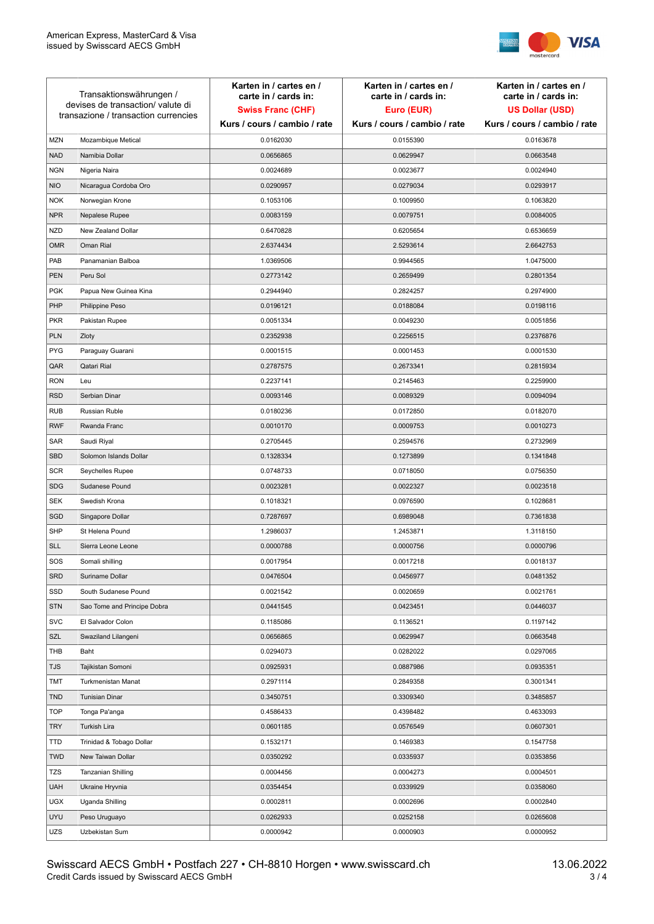

| Transaktionswährungen /<br>devises de transaction/valute di<br>transazione / transaction currencies |                             | Karten in / cartes en /<br>carte in / cards in:<br><b>Swiss Franc (CHF)</b> | Karten in / cartes en /<br>carte in / cards in:<br>Euro (EUR) | Karten in / cartes en /<br>carte in / cards in:<br><b>US Dollar (USD)</b> |
|-----------------------------------------------------------------------------------------------------|-----------------------------|-----------------------------------------------------------------------------|---------------------------------------------------------------|---------------------------------------------------------------------------|
|                                                                                                     |                             | Kurs / cours / cambio / rate                                                | Kurs / cours / cambio / rate                                  | Kurs / cours / cambio / rate                                              |
| <b>MZN</b>                                                                                          | Mozambique Metical          | 0.0162030                                                                   | 0.0155390                                                     | 0.0163678                                                                 |
| <b>NAD</b>                                                                                          | Namibia Dollar              | 0.0656865                                                                   | 0.0629947                                                     | 0.0663548                                                                 |
| <b>NGN</b>                                                                                          | Nigeria Naira               | 0.0024689                                                                   | 0.0023677                                                     | 0.0024940                                                                 |
| <b>NIO</b>                                                                                          | Nicaragua Cordoba Oro       | 0.0290957                                                                   | 0.0279034                                                     | 0.0293917                                                                 |
| <b>NOK</b>                                                                                          | Norwegian Krone             | 0.1053106                                                                   | 0.1009950                                                     | 0.1063820                                                                 |
| <b>NPR</b>                                                                                          | Nepalese Rupee              | 0.0083159                                                                   | 0.0079751                                                     | 0.0084005                                                                 |
| <b>NZD</b>                                                                                          | New Zealand Dollar          | 0.6470828                                                                   | 0.6205654                                                     | 0.6536659                                                                 |
| <b>OMR</b>                                                                                          | Oman Rial                   | 2.6374434                                                                   | 2.5293614                                                     | 2.6642753                                                                 |
| PAB                                                                                                 | Panamanian Balboa           | 1.0369506                                                                   | 0.9944565                                                     | 1.0475000                                                                 |
| <b>PEN</b>                                                                                          | Peru Sol                    | 0.2773142                                                                   | 0.2659499                                                     | 0.2801354                                                                 |
| <b>PGK</b>                                                                                          | Papua New Guinea Kina       | 0.2944940                                                                   | 0.2824257                                                     | 0.2974900                                                                 |
| PHP                                                                                                 | Philippine Peso             | 0.0196121                                                                   | 0.0188084                                                     | 0.0198116                                                                 |
| <b>PKR</b>                                                                                          | Pakistan Rupee              | 0.0051334                                                                   | 0.0049230                                                     | 0.0051856                                                                 |
| <b>PLN</b>                                                                                          | Zloty                       | 0.2352938                                                                   | 0.2256515                                                     | 0.2376876                                                                 |
| <b>PYG</b>                                                                                          | Paraguay Guarani            | 0.0001515                                                                   | 0.0001453                                                     | 0.0001530                                                                 |
| QAR                                                                                                 | Qatari Rial                 | 0.2787575                                                                   | 0.2673341                                                     | 0.2815934                                                                 |
| <b>RON</b>                                                                                          | Leu                         | 0.2237141                                                                   | 0.2145463                                                     | 0.2259900                                                                 |
| <b>RSD</b>                                                                                          | Serbian Dinar               | 0.0093146                                                                   | 0.0089329                                                     | 0.0094094                                                                 |
| <b>RUB</b>                                                                                          | Russian Ruble               | 0.0180236                                                                   | 0.0172850                                                     | 0.0182070                                                                 |
| <b>RWF</b>                                                                                          | Rwanda Franc                | 0.0010170                                                                   | 0.0009753                                                     | 0.0010273                                                                 |
| SAR                                                                                                 | Saudi Riyal                 | 0.2705445                                                                   | 0.2594576                                                     | 0.2732969                                                                 |
| SBD                                                                                                 | Solomon Islands Dollar      | 0.1328334                                                                   | 0.1273899                                                     | 0.1341848                                                                 |
| <b>SCR</b>                                                                                          | Seychelles Rupee            | 0.0748733                                                                   | 0.0718050                                                     | 0.0756350                                                                 |
| <b>SDG</b>                                                                                          | Sudanese Pound              | 0.0023281                                                                   | 0.0022327                                                     | 0.0023518                                                                 |
| <b>SEK</b>                                                                                          | Swedish Krona               | 0.1018321                                                                   | 0.0976590                                                     | 0.1028681                                                                 |
| SGD                                                                                                 | Singapore Dollar            | 0.7287697                                                                   | 0.6989048                                                     | 0.7361838                                                                 |
| <b>SHP</b>                                                                                          | St Helena Pound             | 1.2986037                                                                   | 1.2453871                                                     | 1.3118150                                                                 |
| <b>SLL</b>                                                                                          | Sierra Leone Leone          | 0.0000788                                                                   | 0.0000756                                                     | 0.0000796                                                                 |
| SOS                                                                                                 | Somali shilling             | 0.0017954                                                                   | 0.0017218                                                     | 0.0018137                                                                 |
| SRD                                                                                                 | Suriname Dollar             | 0.0476504                                                                   | 0.0456977                                                     | 0.0481352                                                                 |
| SSD                                                                                                 | South Sudanese Pound        | 0.0021542                                                                   | 0.0020659                                                     | 0.0021761                                                                 |
| <b>STN</b>                                                                                          | Sao Tome and Principe Dobra | 0.0441545                                                                   | 0.0423451                                                     | 0.0446037                                                                 |
| <b>SVC</b>                                                                                          | El Salvador Colon           | 0.1185086                                                                   | 0.1136521                                                     | 0.1197142                                                                 |
| SZL                                                                                                 | Swaziland Lilangeni         | 0.0656865                                                                   | 0.0629947                                                     | 0.0663548                                                                 |
| THB                                                                                                 | Baht                        | 0.0294073                                                                   | 0.0282022                                                     | 0.0297065                                                                 |
| TJS                                                                                                 | Tajikistan Somoni           | 0.0925931                                                                   | 0.0887986                                                     | 0.0935351                                                                 |
| <b>TMT</b>                                                                                          | Turkmenistan Manat          | 0.2971114                                                                   | 0.2849358                                                     | 0.3001341                                                                 |
| <b>TND</b>                                                                                          | <b>Tunisian Dinar</b>       | 0.3450751                                                                   | 0.3309340                                                     | 0.3485857                                                                 |
| <b>TOP</b>                                                                                          | Tonga Pa'anga               | 0.4586433                                                                   | 0.4398482                                                     | 0.4633093                                                                 |
| <b>TRY</b>                                                                                          | Turkish Lira                | 0.0601185                                                                   | 0.0576549                                                     | 0.0607301                                                                 |
| TTD                                                                                                 | Trinidad & Tobago Dollar    | 0.1532171                                                                   | 0.1469383                                                     | 0.1547758                                                                 |
| <b>TWD</b>                                                                                          | New Taiwan Dollar           | 0.0350292                                                                   | 0.0335937                                                     | 0.0353856                                                                 |
| <b>TZS</b>                                                                                          | Tanzanian Shilling          | 0.0004456                                                                   | 0.0004273                                                     | 0.0004501                                                                 |
| <b>UAH</b>                                                                                          | Ukraine Hryvnia             | 0.0354454                                                                   | 0.0339929                                                     | 0.0358060                                                                 |
| <b>UGX</b>                                                                                          | Uganda Shilling             | 0.0002811                                                                   | 0.0002696                                                     | 0.0002840                                                                 |
| <b>UYU</b>                                                                                          | Peso Uruguayo               | 0.0262933                                                                   | 0.0252158                                                     | 0.0265608                                                                 |
| UZS                                                                                                 | Uzbekistan Sum              | 0.0000942                                                                   | 0.0000903                                                     | 0.0000952                                                                 |